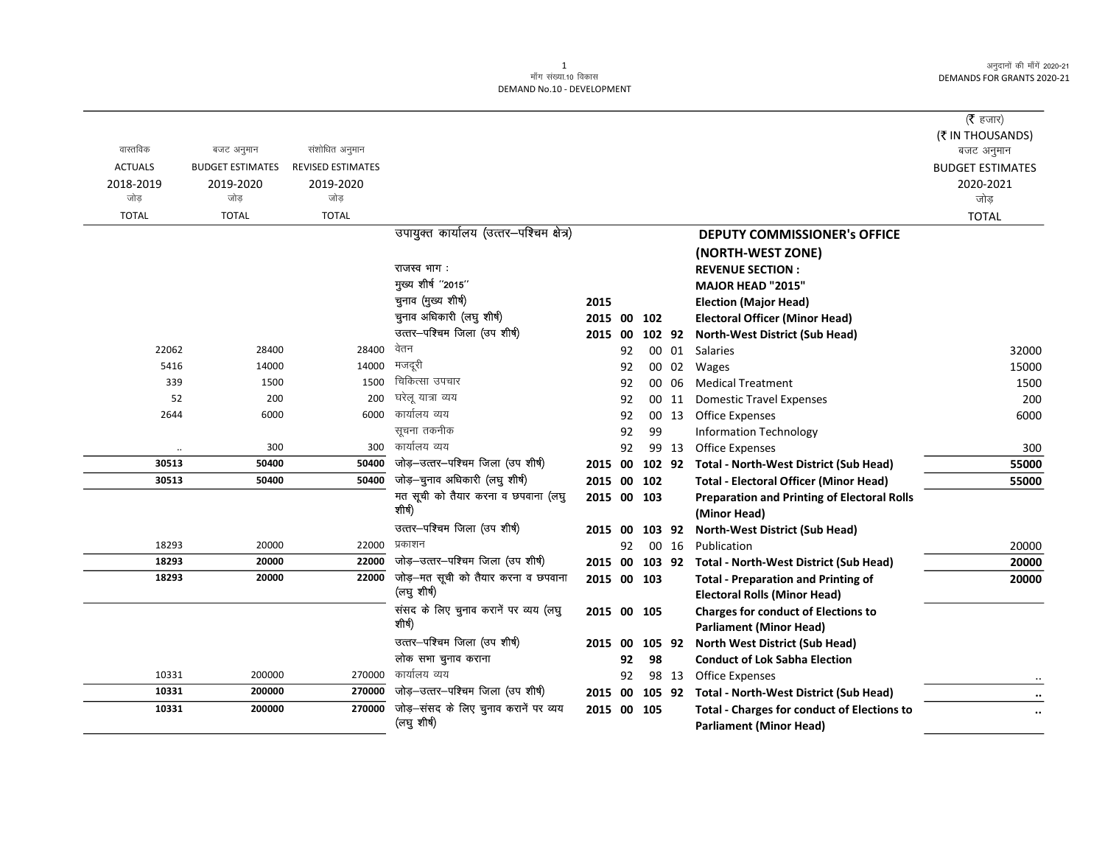|                |                         |                          |                                          |                |    |        |       |                                                                    | ( $\bar{\tau}$ हजार)<br>(₹ IN THOUSANDS) |
|----------------|-------------------------|--------------------------|------------------------------------------|----------------|----|--------|-------|--------------------------------------------------------------------|------------------------------------------|
| वास्तविक       | बजट अनुमान              | संशोधित अनुमान           |                                          |                |    |        |       |                                                                    | बजट अनुमान                               |
| <b>ACTUALS</b> | <b>BUDGET ESTIMATES</b> | <b>REVISED ESTIMATES</b> |                                          |                |    |        |       |                                                                    | <b>BUDGET ESTIMATES</b>                  |
| 2018-2019      | 2019-2020               | 2019-2020                |                                          |                |    |        |       |                                                                    | 2020-2021                                |
| जोड            | जोड                     | जोड                      |                                          |                |    |        |       |                                                                    | जोड़                                     |
| <b>TOTAL</b>   | <b>TOTAL</b>            | <b>TOTAL</b>             |                                          |                |    |        |       |                                                                    | <b>TOTAL</b>                             |
|                |                         |                          | उपायुक्त कार्यालय (उत्तर-पश्चिम क्षेत्र) |                |    |        |       | <b>DEPUTY COMMISSIONER's OFFICE</b>                                |                                          |
|                |                         |                          |                                          |                |    |        |       | (NORTH-WEST ZONE)                                                  |                                          |
|                |                         |                          | राजस्व भाग:                              |                |    |        |       | <b>REVENUE SECTION:</b>                                            |                                          |
|                |                         |                          | मुख्य शीर्ष "2015"                       |                |    |        |       | <b>MAJOR HEAD "2015"</b>                                           |                                          |
|                |                         |                          | चुनाव (मुख्य शीर्ष)                      | 2015           |    |        |       | <b>Election (Major Head)</b>                                       |                                          |
|                |                         |                          | चुनाव अधिकारी (लघु शीर्ष)                | 2015 00        |    | 102    |       | <b>Electoral Officer (Minor Head)</b>                              |                                          |
|                |                         |                          | उत्तर-पश्चिम जिला (उप शीर्ष)             | 2015 00        |    | 102 92 |       | <b>North-West District (Sub Head)</b>                              |                                          |
| 22062          | 28400                   | 28400                    | वेतन                                     |                | 92 |        | 00 01 | Salaries                                                           | 32000                                    |
| 5416           | 14000                   | 14000                    | मजदूरी                                   |                | 92 |        | 00 02 | Wages                                                              | 15000                                    |
| 339            | 1500                    | 1500                     | चिकित्सा उपचार                           |                | 92 | 00     | 06    | <b>Medical Treatment</b>                                           | 1500                                     |
| 52             | 200                     | 200                      | घरेलू यात्रा व्यय<br>कार्यालय व्यय       |                | 92 |        | 00 11 | <b>Domestic Travel Expenses</b>                                    | 200                                      |
| 2644           | 6000                    | 6000                     | सूचना तकनीक                              |                | 92 |        | 00 13 | <b>Office Expenses</b>                                             | 6000                                     |
|                |                         |                          | कार्यालय व्यय                            |                | 92 | 99     |       | <b>Information Technology</b>                                      |                                          |
| 30513          | 300<br>50400            | 300<br>50400             | जोड़-उत्तर-पश्चिम जिला (उप शीर्ष)        |                | 92 |        | 99 13 | <b>Office Expenses</b>                                             | 300                                      |
| 30513          |                         | 50400                    | जोड़-चुनाव अधिकारी (लघु शीर्ष)           |                |    |        |       | 2015 00 102 92 Total - North-West District (Sub Head)              | 55000                                    |
|                | 50400                   |                          | मत सूची को तैयार करना व छपवाना (लघु      | 2015 00 102    |    |        |       | <b>Total - Electoral Officer (Minor Head)</b>                      | 55000                                    |
|                |                         |                          | शीर्ष)                                   | 2015 00 103    |    |        |       | <b>Preparation and Printing of Electoral Rolls</b><br>(Minor Head) |                                          |
|                |                         |                          | उत्तर-पश्चिम जिला (उप शीर्ष)             | 2015 00 103 92 |    |        |       | <b>North-West District (Sub Head)</b>                              |                                          |
| 18293          | 20000                   | 22000                    | प्रकाशन                                  |                | 92 |        | 00 16 | Publication                                                        | 20000                                    |
| 18293          | 20000                   | 22000                    | जोड़-उत्तर-पश्चिम जिला (उप शीर्ष)        |                |    |        |       | 2015 00 103 92 Total - North-West District (Sub Head)              | 20000                                    |
| 18293          | 20000                   | 22000                    | जोड़—मत सूची को तैयार करना व छपवाना      | 2015 00 103    |    |        |       | <b>Total - Preparation and Printing of</b>                         | 20000                                    |
|                |                         |                          | (लघु शीर्ष)                              |                |    |        |       | <b>Electoral Rolls (Minor Head)</b>                                |                                          |
|                |                         |                          | संसद के लिए चुनाव करानें पर व्यय (लघु    | 2015 00 105    |    |        |       | <b>Charges for conduct of Elections to</b>                         |                                          |
|                |                         |                          | शोर्ष)                                   |                |    |        |       | <b>Parliament (Minor Head)</b>                                     |                                          |
|                |                         |                          | उत्तर-पश्चिम जिला (उप शीर्ष)             | 2015 00        |    | 105 92 |       | <b>North West District (Sub Head)</b>                              |                                          |
|                |                         |                          | लोक सभा चुनाव कराना                      |                | 92 | 98     |       | <b>Conduct of Lok Sabha Election</b>                               |                                          |
| 10331          | 200000                  | 270000                   | कार्यालय व्यय                            |                | 92 |        | 98 13 | <b>Office Expenses</b>                                             |                                          |
| 10331          | 200000                  | 270000                   | जोड़-उत्तर-पश्चिम जिला (उप शीर्ष)        | 2015 00 105 92 |    |        |       | <b>Total - North-West District (Sub Head)</b>                      | $\cdot \cdot$                            |
| 10331          | 200000                  | 270000                   | जोड़-संसद के लिए चुनाव करानें पर व्यय    | 2015 00 105    |    |        |       | <b>Total - Charges for conduct of Elections to</b>                 | $\ddotsc$                                |
|                |                         |                          | (लघु शीर्ष)                              |                |    |        |       | <b>Parliament (Minor Head)</b>                                     |                                          |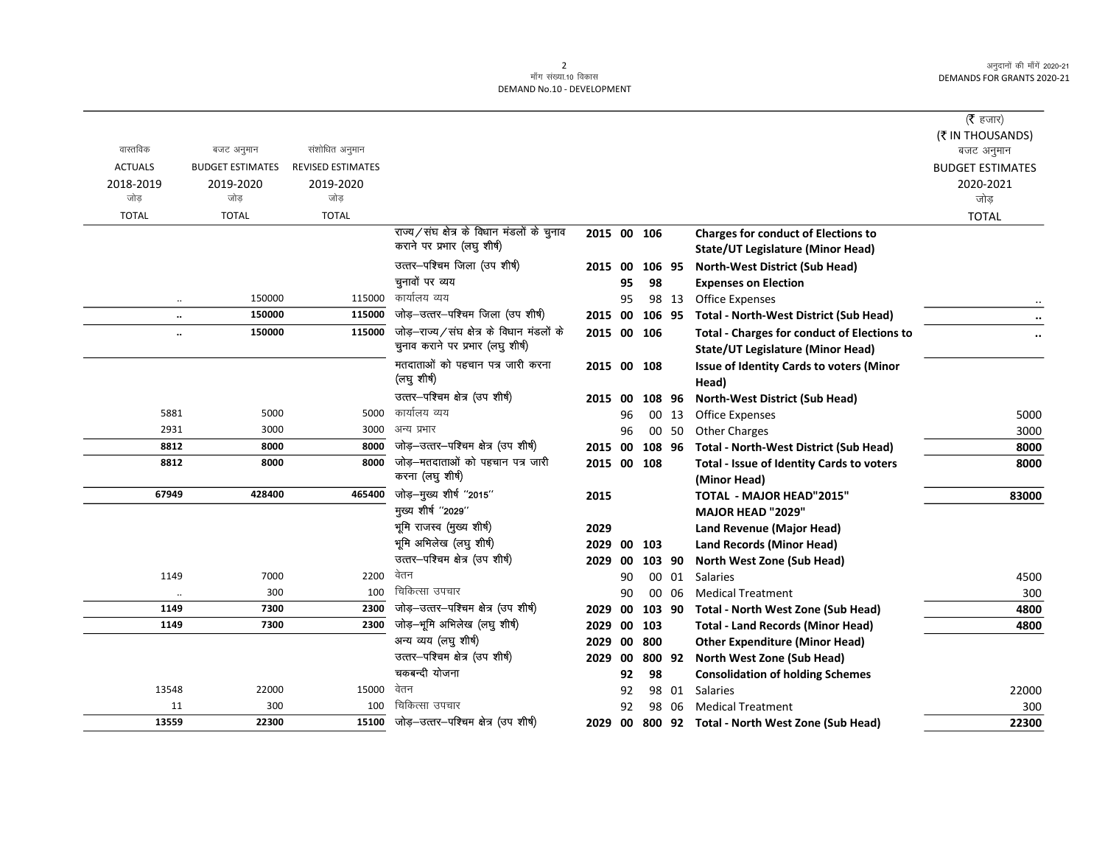|                      |                         |                          |                                                    |             |    |        |       |                                                    | ( <b>रै</b> हजार)       |
|----------------------|-------------------------|--------------------------|----------------------------------------------------|-------------|----|--------|-------|----------------------------------------------------|-------------------------|
|                      |                         |                          |                                                    |             |    |        |       |                                                    | (そ IN THOUSANDS)        |
| वास्तविक             | बजट अनुमान              | संशोधित अनुमान           |                                                    |             |    |        |       |                                                    | बजट अनुमान              |
| <b>ACTUALS</b>       | <b>BUDGET ESTIMATES</b> | <b>REVISED ESTIMATES</b> |                                                    |             |    |        |       |                                                    | <b>BUDGET ESTIMATES</b> |
| 2018-2019            | 2019-2020               | 2019-2020                |                                                    |             |    |        |       |                                                    | 2020-2021               |
| जोड                  | जोड                     | जोड                      |                                                    |             |    |        |       |                                                    | जोड़                    |
| <b>TOTAL</b>         | <b>TOTAL</b>            | <b>TOTAL</b>             |                                                    |             |    |        |       |                                                    | <b>TOTAL</b>            |
|                      |                         |                          | राज्य/संघ क्षेत्र के विधान मंडलों के चुनाव         | 2015 00 106 |    |        |       | <b>Charges for conduct of Elections to</b>         |                         |
|                      |                         |                          | कराने पर प्रभार (लघु शीर्ष)                        |             |    |        |       | <b>State/UT Legislature (Minor Head)</b>           |                         |
|                      |                         |                          | उत्तर-पश्चिम जिला (उप शीर्ष)                       | 2015 00     |    | 106 95 |       | <b>North-West District (Sub Head)</b>              |                         |
|                      |                         |                          | चुनावों पर व्यय                                    |             | 95 | 98     |       | <b>Expenses on Election</b>                        |                         |
| $\ddotsc$            | 150000                  | 115000                   | कार्यालय व्यय                                      |             | 95 |        | 98 13 | Office Expenses                                    |                         |
| $\ldots$             | 150000                  | 115000                   | जोड़-उत्तर-पश्चिम जिला (उप शीर्ष)                  | 2015 00     |    |        |       | 106 95 Total - North-West District (Sub Head)      |                         |
| $\ddot{\phantom{a}}$ | 150000                  |                          | $115000$ जोड़-राज्य/संघ क्षेत्र के विधान मंडलों के | 2015 00 106 |    |        |       | <b>Total - Charges for conduct of Elections to</b> |                         |
|                      |                         |                          | चुनाव कराने पर प्रभार (लघु शीर्ष)                  |             |    |        |       | <b>State/UT Legislature (Minor Head)</b>           |                         |
|                      |                         |                          | मतदाताओं को पहचान पत्र जारी करना                   | 2015 00 108 |    |        |       | Issue of Identity Cards to voters (Minor           |                         |
|                      |                         |                          | (लघु शीर्ष)                                        |             |    |        |       | Head)                                              |                         |
|                      |                         |                          | उत्तर-पश्चिम क्षेत्र (उप शीर्ष)                    | 2015 00     |    | 108 96 |       | <b>North-West District (Sub Head)</b>              |                         |
| 5881                 | 5000                    | 5000                     | कार्यालय व्यय                                      |             | 96 |        | 00 13 | <b>Office Expenses</b>                             | 5000                    |
| 2931                 | 3000                    | 3000                     | अन्य प्रभार                                        |             | 96 |        | 00 50 | <b>Other Charges</b>                               | 3000                    |
| 8812                 | 8000                    | 8000                     | जोड़-उत्तर-पश्चिम क्षेत्र (उप शीर्ष)               | 2015 00     |    |        |       | 108 96 Total - North-West District (Sub Head)      | 8000                    |
| 8812                 | 8000                    | 8000                     | जोड़-मतदाताओं को पहचान पत्र जारी                   | 2015 00 108 |    |        |       | Total - Issue of Identity Cards to voters          | 8000                    |
|                      |                         |                          | करना (लघु शीर्ष)                                   |             |    |        |       | (Minor Head)                                       |                         |
| 67949                | 428400                  | 465400                   | जोड़-मुख्य शीर्ष "2015"                            | 2015        |    |        |       | <b>TOTAL - MAJOR HEAD"2015"</b>                    | 83000                   |
|                      |                         |                          | मुख्य शीर्ष "2029"                                 |             |    |        |       | <b>MAJOR HEAD "2029"</b>                           |                         |
|                      |                         |                          | भूमि राजस्व (मुख्य शीर्ष)                          | 2029        |    |        |       | Land Revenue (Major Head)                          |                         |
|                      |                         |                          | भूमि अभिलेख (लघु शीर्ष)                            | 2029 00 103 |    |        |       | Land Records (Minor Head)                          |                         |
|                      |                         |                          | उत्तर-पश्चिम क्षेत्र (उप शीर्ष)                    | 2029 00     |    | 103 90 |       | North West Zone (Sub Head)                         |                         |
| 1149                 | 7000                    | 2200                     | वेतन                                               |             | 90 |        | 00 01 | Salaries                                           | 4500                    |
| $\ddotsc$            | 300                     | 100                      | चिकित्सा उपचार                                     |             | 90 |        | 00 06 | <b>Medical Treatment</b>                           | 300                     |
| 1149                 | 7300                    | 2300                     | जोड़-उत्तर-पश्चिम क्षेत्र (उप शीर्ष)               | 2029 00     |    |        |       | 103 90 Total - North West Zone (Sub Head)          | 4800                    |
| 1149                 | 7300                    | 2300                     | जोड़—भूमि अभिलेख (लघु शीर्ष)                       | 2029 00     |    | 103    |       | <b>Total - Land Records (Minor Head)</b>           | 4800                    |
|                      |                         |                          | अन्य व्यय (लघु शीर्ष)                              | 2029 00     |    | 800    |       | <b>Other Expenditure (Minor Head)</b>              |                         |
|                      |                         |                          | उत्तर-पश्चिम क्षेत्र (उप शीर्ष)                    | 2029 00     |    |        |       | 800 92 North West Zone (Sub Head)                  |                         |
|                      |                         |                          | चकबन्दी योजना                                      |             | 92 | 98     |       | <b>Consolidation of holding Schemes</b>            |                         |
| 13548                | 22000                   | 15000                    | वेतन                                               |             | 92 |        |       | 98 01 Salaries                                     | 22000                   |
| 11                   | 300                     | 100                      | चिकित्सा उपचार                                     |             | 92 |        | 98 06 | <b>Medical Treatment</b>                           | 300                     |
| 13559                | 22300                   | 15100                    | जोड़-उत्तर-पश्चिम क्षेत्र (उप शीर्ष)               | 2029 00     |    |        |       | 800 92 Total - North West Zone (Sub Head)          | 22300                   |
|                      |                         |                          |                                                    |             |    |        |       |                                                    |                         |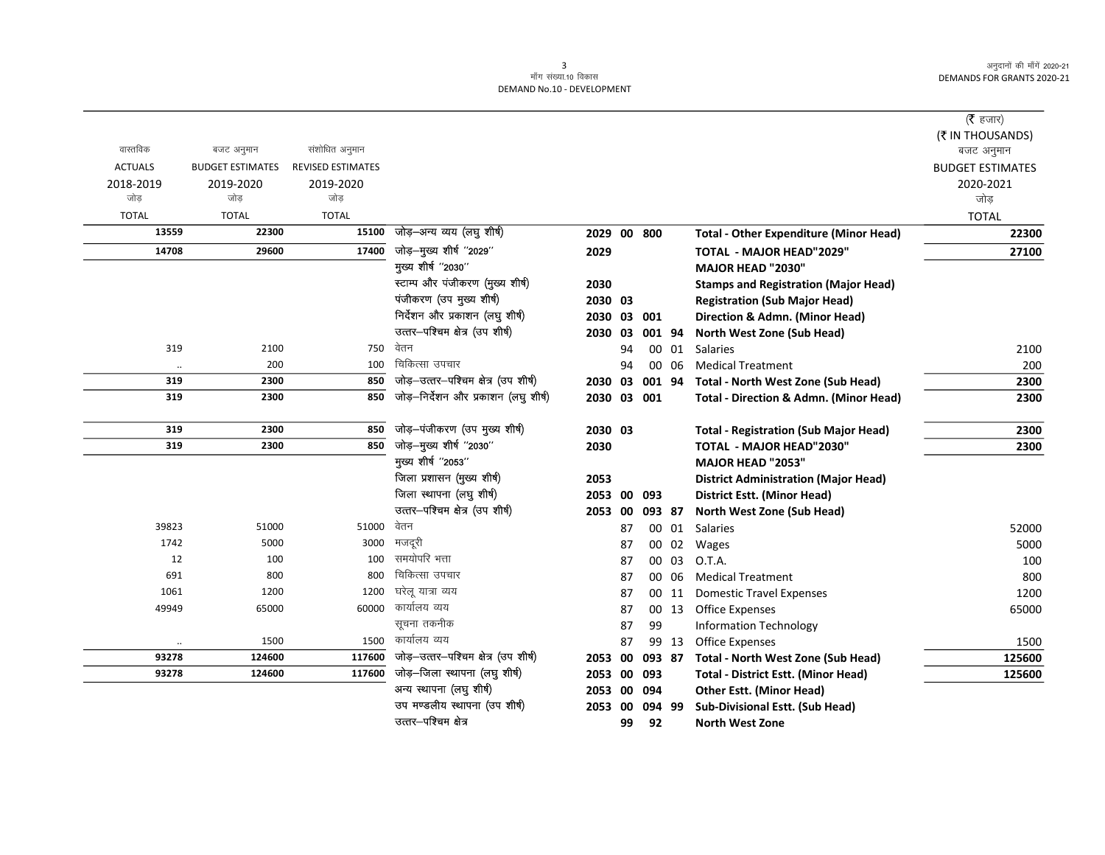|                |                         |                          |                                      |                |    |        |       |                                                   | ( $\bar{\tau}$ हजार)<br>(₹ IN THOUSANDS) |
|----------------|-------------------------|--------------------------|--------------------------------------|----------------|----|--------|-------|---------------------------------------------------|------------------------------------------|
| वास्तविक       | बजट अनुमान              | संशोधित अनुमान           |                                      |                |    |        |       |                                                   | बजट अनुमान                               |
| <b>ACTUALS</b> | <b>BUDGET ESTIMATES</b> | <b>REVISED ESTIMATES</b> |                                      |                |    |        |       |                                                   | <b>BUDGET ESTIMATES</b>                  |
| 2018-2019      | 2019-2020               | 2019-2020                |                                      |                |    |        |       |                                                   | 2020-2021                                |
| जोड            | जोड                     | जोड                      |                                      |                |    |        |       |                                                   | जोड                                      |
| <b>TOTAL</b>   | <b>TOTAL</b>            | <b>TOTAL</b>             |                                      |                |    |        |       |                                                   | <b>TOTAL</b>                             |
| 13559          | 22300                   | 15100                    | जोड़–अन्य व्यय (लघु शीर्ष)           | 2029           |    | 00 800 |       | <b>Total - Other Expenditure (Minor Head)</b>     | 22300                                    |
| 14708          | 29600                   | 17400                    | जोड़–मुख्य शीर्ष "2029"              | 2029           |    |        |       | <b>TOTAL - MAJOR HEAD"2029"</b>                   | 27100                                    |
|                |                         |                          | मुख्य शीर्ष "2030"                   |                |    |        |       | <b>MAJOR HEAD "2030"</b>                          |                                          |
|                |                         |                          | स्टाम्प और पंजीकरण (मुख्य शीर्ष)     | 2030           |    |        |       | <b>Stamps and Registration (Major Head)</b>       |                                          |
|                |                         |                          | पंजीकरण (उप मुख्य शीर्ष)             | 2030 03        |    |        |       | <b>Registration (Sub Major Head)</b>              |                                          |
|                |                         |                          | निर्देशन और प्रकाशन (लघु शीर्ष)      | 2030 03 001    |    |        |       | Direction & Admn. (Minor Head)                    |                                          |
|                |                         |                          | उत्तर-पश्चिम क्षेत्र (उप शीर्ष)      | 2030 03 001 94 |    |        |       | North West Zone (Sub Head)                        |                                          |
| 319            | 2100                    | 750                      | वेतन                                 |                | 94 |        |       | 00 01 Salaries                                    | 2100                                     |
| $\cdot\cdot$   | 200                     | 100                      | चिकित्सा उपचार                       |                | 94 |        | 00 06 | <b>Medical Treatment</b>                          | 200                                      |
| 319            | 2300                    | 850                      | जोड़-उत्तर-पश्चिम क्षेत्र (उप शीर्ष) | 2030 03 001 94 |    |        |       | Total - North West Zone (Sub Head)                | 2300                                     |
| 319            | 2300                    | 850                      | जोड़-निर्देशन और प्रकाशन (लघु शीर्ष) | 2030 03 001    |    |        |       | <b>Total - Direction &amp; Admn. (Minor Head)</b> | 2300                                     |
| 319            | 2300                    | 850                      | जोड़-पंजीकरण (उप मुख्य शीर्ष)        | 2030 03        |    |        |       | <b>Total - Registration (Sub Major Head)</b>      | 2300                                     |
| 319            | 2300                    | 850                      | जोड़-मुख्य शीर्ष "2030"              | 2030           |    |        |       | TOTAL - MAJOR HEAD"2030"                          | 2300                                     |
|                |                         |                          | मुख्य शीर्ष "2053"                   |                |    |        |       | <b>MAJOR HEAD "2053"</b>                          |                                          |
|                |                         |                          | जिला प्रशासन (मुख्य शीर्ष)           | 2053           |    |        |       | <b>District Administration (Major Head)</b>       |                                          |
|                |                         |                          | जिला स्थापना (लघु शीर्ष)             | 2053 00 093    |    |        |       | <b>District Estt. (Minor Head)</b>                |                                          |
|                |                         |                          | उत्तर-पश्चिम क्षेत्र (उप शीर्ष)      | 2053 00        |    | 093 87 |       | North West Zone (Sub Head)                        |                                          |
| 39823          | 51000                   | 51000                    | वेतन                                 |                | 87 |        | 00 01 | Salaries                                          | 52000                                    |
| 1742           | 5000                    | 3000                     | मजदूरी                               |                | 87 |        | 00 02 | Wages                                             | 5000                                     |
| 12             | 100                     | 100                      | समयोपरि भत्ता                        |                | 87 |        | 00 03 | O.T.A.                                            | 100                                      |
| 691            | 800                     | 800                      | चिकित्सा उपचार                       |                | 87 |        | 00 06 | <b>Medical Treatment</b>                          | 800                                      |
| 1061           | 1200                    | 1200                     | घरेलू यात्रा व्यय                    |                | 87 |        | 00 11 | <b>Domestic Travel Expenses</b>                   | 1200                                     |
| 49949          | 65000                   | 60000                    | कार्यालय व्यय                        |                | 87 |        | 00 13 | <b>Office Expenses</b>                            | 65000                                    |
|                |                         |                          | सूचना तकनीक                          |                | 87 | 99     |       | <b>Information Technology</b>                     |                                          |
| $\ddotsc$      | 1500                    | 1500                     | कार्यालय व्यय                        |                | 87 |        | 99 13 | <b>Office Expenses</b>                            | 1500                                     |
| 93278          | 124600                  | 117600                   | जोड़-उत्तर-पश्चिम क्षेत्र (उप शीर्ष) | 2053           | 00 | 093 87 |       | <b>Total - North West Zone (Sub Head)</b>         | 125600                                   |
| 93278          | 124600                  | 117600                   | जोड़–जिला स्थापना (लघु शीर्ष)        | 2053 00        |    | 093    |       | <b>Total - District Estt. (Minor Head)</b>        | 125600                                   |
|                |                         |                          | अन्य स्थापना (लघु शीर्ष)             | 2053           | 00 | 094    |       | <b>Other Estt. (Minor Head)</b>                   |                                          |
|                |                         |                          | उप मण्डलीय स्थापना (उप शीर्ष)        | 2053 00        |    | 094 99 |       | <b>Sub-Divisional Estt. (Sub Head)</b>            |                                          |
|                |                         |                          | उत्तर-पश्चिम क्षेत्र                 |                | 99 | 92     |       | <b>North West Zone</b>                            |                                          |